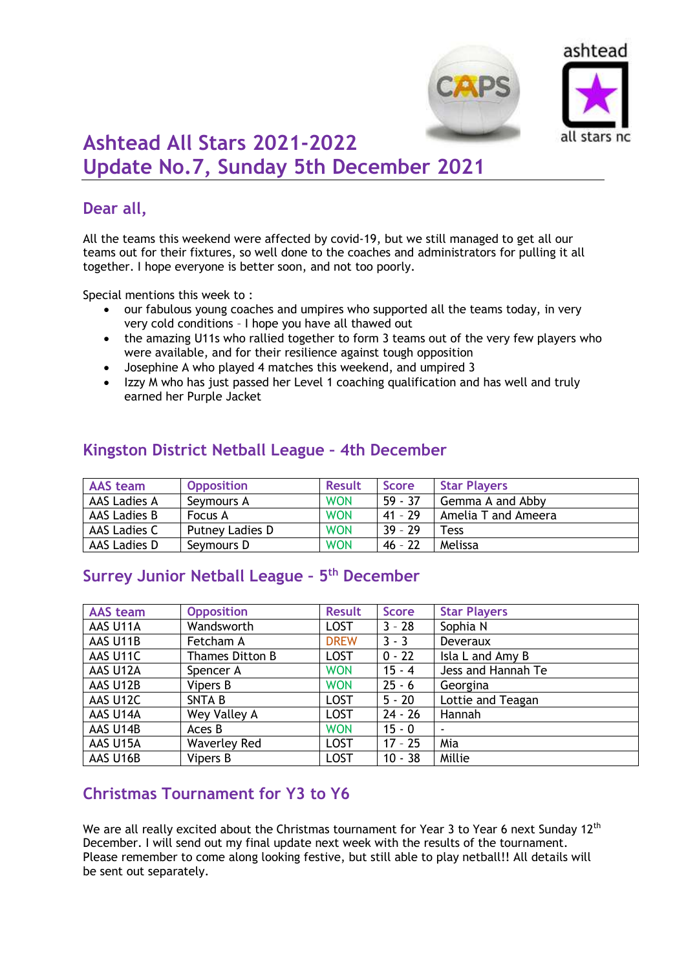



# **Ashtead All Stars 2021-2022 Update No.7, Sunday 5th December 2021**

### **Dear all,**

All the teams this weekend were affected by covid-19, but we still managed to get all our teams out for their fixtures, so well done to the coaches and administrators for pulling it all together. I hope everyone is better soon, and not too poorly.

Special mentions this week to :

- our fabulous young coaches and umpires who supported all the teams today, in very very cold conditions – I hope you have all thawed out
- the amazing U11s who rallied together to form 3 teams out of the very few players who were available, and for their resilience against tough opposition
- Josephine A who played 4 matches this weekend, and umpired 3
- Izzy M who has just passed her Level 1 coaching qualification and has well and truly earned her Purple Jacket

| <b>AAS</b> team | <b>Opposition</b> | <b>Result</b> | <b>Score</b> | <b>Star Players</b> |
|-----------------|-------------------|---------------|--------------|---------------------|
| AAS Ladies A    | Seymours A        | <b>WON</b>    | $59 - 37$    | Gemma A and Abby    |
| AAS Ladies B    | Focus A           | <b>WON</b>    | $41 - 29$    | Amelia T and Ameera |
| AAS Ladies C    | Putney Ladies D   | <b>WON</b>    | $39 - 29$    | Tess                |
| AAS Ladies D    | Seymours D        | <b>WON</b>    | $46 - 22$    | Melissa             |

### **Kingston District Netball League – 4th December**

# **Surrey Junior Netball League – 5 th December**

| <b>AAS team</b> | <b>Opposition</b>   | <b>Result</b> | <b>Score</b> | <b>Star Players</b> |  |
|-----------------|---------------------|---------------|--------------|---------------------|--|
| AAS U11A        | Wandsworth          | <b>LOST</b>   | $3 - 28$     | Sophia N            |  |
| AAS U11B        | Fetcham A           | <b>DREW</b>   | $3 - 3$      | <b>Deveraux</b>     |  |
| AAS U11C        | Thames Ditton B     | <b>LOST</b>   | $0 - 22$     | Isla L and Amy B    |  |
| AAS U12A        | Spencer A           | <b>WON</b>    | $15 - 4$     | Jess and Hannah Te  |  |
| AAS U12B        | Vipers B            | <b>WON</b>    | $25 - 6$     | Georgina            |  |
| AAS U12C        | <b>SNTAB</b>        | <b>LOST</b>   | $5 - 20$     | Lottie and Teagan   |  |
| AAS U14A        | Wey Valley A        | <b>LOST</b>   | $24 - 26$    | Hannah              |  |
| AAS U14B        | Aces B              | <b>WON</b>    | $15 - 0$     |                     |  |
| AAS U15A        | <b>Waverley Red</b> | <b>LOST</b>   | $17 - 25$    | Mia                 |  |
| AAS U16B        | Vipers B            | <b>LOST</b>   | $10 - 38$    | Millie              |  |

#### **Christmas Tournament for Y3 to Y6**

We are all really excited about the Christmas tournament for Year 3 to Year 6 next Sunday 12<sup>th</sup> December. I will send out my final update next week with the results of the tournament. Please remember to come along looking festive, but still able to play netball!! All details will be sent out separately.